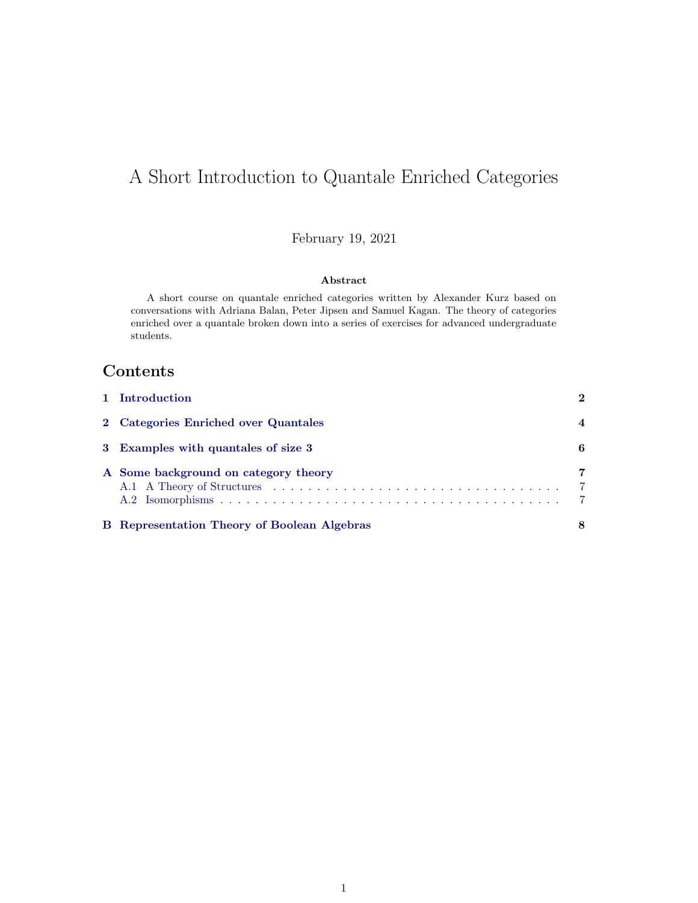# A Short Introduction to Quantale Enriched Categories

February 19, 2021

#### Abstract

A short course on quantale enriched categories written by Alexander Kurz based on conversations with Adriana Balan, Peter Jipsen and Samuel Kagan. The theory of categories enriched over a quantale broken down into a series of exercises for advanced undergraduate students.

## Contents

| <b>B</b> Representation Theory of Boolean Algebras | 8                                     |
|----------------------------------------------------|---------------------------------------|
| A Some background on category theory               | 7<br>$\overline{7}$<br>$\overline{7}$ |
| 3 Examples with quantales of size 3                | 6                                     |
| 2 Categories Enriched over Quantales               |                                       |
| 1 Introduction                                     | $\mathbf 2$                           |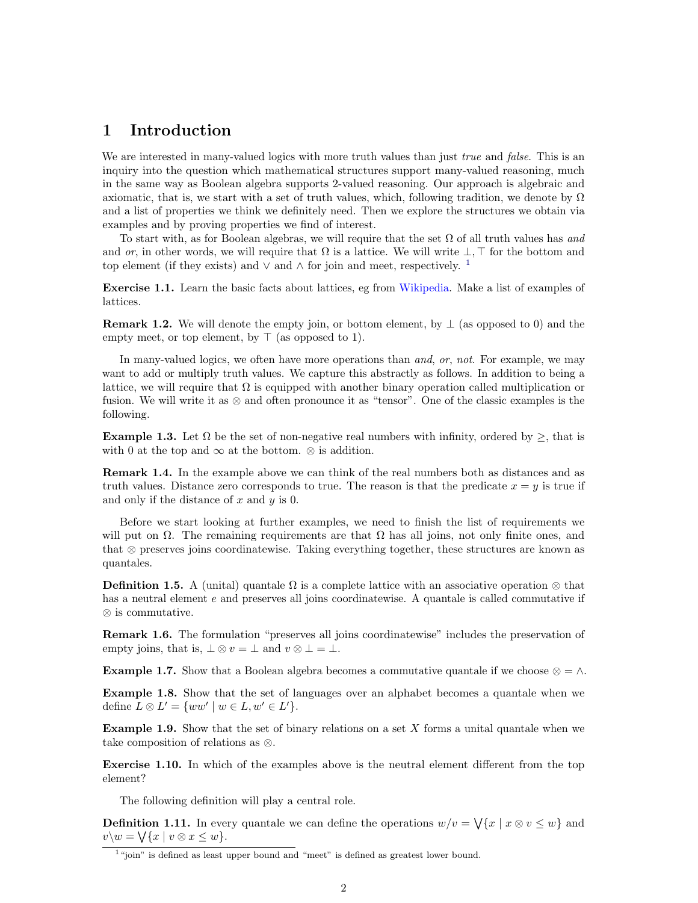## <span id="page-1-0"></span>1 Introduction

We are interested in many-valued logics with more truth values than just *true* and *false*. This is an inquiry into the question which mathematical structures support many-valued reasoning, much in the same way as Boolean algebra supports 2-valued reasoning. Our approach is algebraic and axiomatic, that is, we start with a set of truth values, which, following tradition, we denote by  $\Omega$ and a list of properties we think we definitely need. Then we explore the structures we obtain via examples and by proving properties we find of interest.

To start with, as for Boolean algebras, we will require that the set  $\Omega$  of all truth values has and and or, in other words, we will require that  $\Omega$  is a lattice. We will write  $\bot$ ,  $\top$  for the bottom and top element (if they exists) and  $\vee$  and  $\wedge$  for join and meet, respectively. <sup>[1](#page-1-1)</sup>

Exercise 1.1. Learn the basic facts about lattices, eg from [Wikipedia.](https://en.wikipedia.org/wiki/Lattice_%28order%29#Lattices_as_algebraic_structures) Make a list of examples of lattices.

**Remark 1.2.** We will denote the empty join, or bottom element, by  $\perp$  (as opposed to 0) and the empty meet, or top element, by  $\top$  (as opposed to 1).

In many-valued logics, we often have more operations than *and*, or, not. For example, we may want to add or multiply truth values. We capture this abstractly as follows. In addition to being a lattice, we will require that  $\Omega$  is equipped with another binary operation called multiplication or fusion. We will write it as ⊗ and often pronounce it as "tensor". One of the classic examples is the following.

<span id="page-1-2"></span>**Example 1.3.** Let  $\Omega$  be the set of non-negative real numbers with infinity, ordered by  $\geq$ , that is with 0 at the top and  $\infty$  at the bottom.  $\otimes$  is addition.

Remark 1.4. In the example above we can think of the real numbers both as distances and as truth values. Distance zero corresponds to true. The reason is that the predicate  $x = y$  is true if and only if the distance of  $x$  and  $y$  is 0.

Before we start looking at further examples, we need to finish the list of requirements we will put on  $\Omega$ . The remaining requirements are that  $\Omega$  has all joins, not only finite ones, and that ⊗ preserves joins coordinatewise. Taking everything together, these structures are known as quantales.

**Definition 1.5.** A (unital) quantale  $\Omega$  is a complete lattice with an associative operation  $\otimes$  that has a neutral element e and preserves all joins coordinatewise. A quantale is called commutative if ⊗ is commutative.

Remark 1.6. The formulation "preserves all joins coordinatewise" includes the preservation of empty joins, that is,  $\bot \otimes v = \bot$  and  $v \otimes \bot = \bot$ .

<span id="page-1-3"></span>**Example 1.7.** Show that a Boolean algebra becomes a commutative quantale if we choose  $\otimes = \wedge$ .

<span id="page-1-4"></span>Example 1.8. Show that the set of languages over an alphabet becomes a quantale when we define  $L \otimes L' = \{ww' \mid w \in L, w' \in L'\}.$ 

<span id="page-1-5"></span>**Example 1.9.** Show that the set of binary relations on a set  $X$  forms a unital quantale when we take composition of relations as ⊗.

Exercise 1.10. In which of the examples above is the neutral element different from the top element?

The following definition will play a central role.

**Definition 1.11.** In every quantale we can define the operations  $w/v = \sqrt{x} | x \otimes v \leq w$  and  $v\backslash w = \bigvee \{x \mid v \otimes x \leq w\}.$ 

<span id="page-1-1"></span><sup>&</sup>lt;sup>1</sup>"join" is defined as least upper bound and "meet" is defined as greatest lower bound.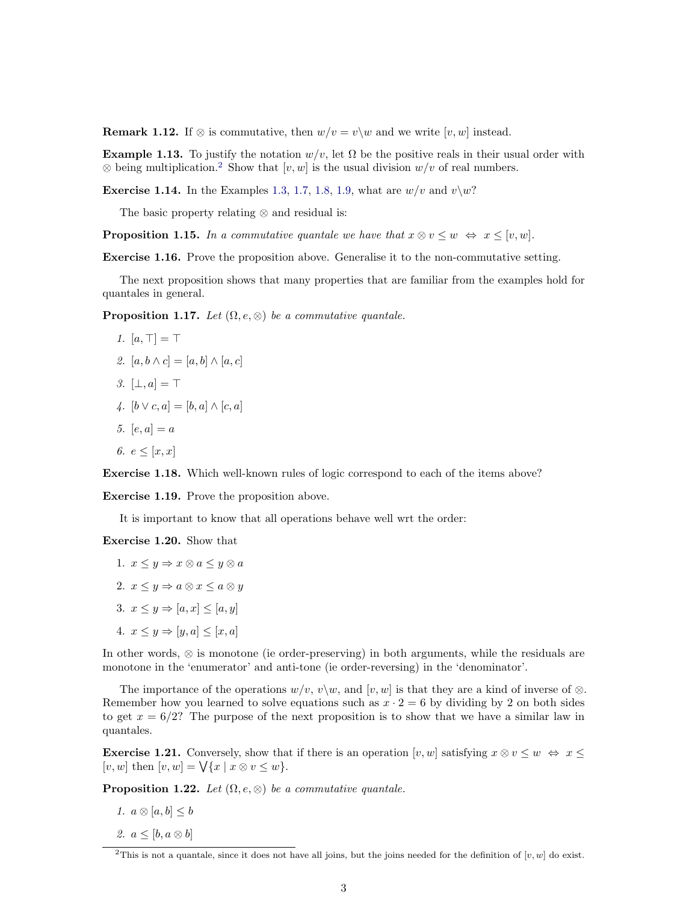**Remark 1.12.** If ⊗ is commutative, then  $w/v = v\wedge w$  and we write [v, w] instead.

**Example 1.13.** To justify the notation  $w/v$ , let  $\Omega$  be the positive reals in their usual order with  $\otimes$  being multiplication.<sup>[2](#page-2-0)</sup> Show that [v, w] is the usual division  $w/v$  of real numbers.

**Exercise 1.14.** In the Examples [1.3,](#page-1-2) [1.7,](#page-1-3) [1.8,](#page-1-4) [1.9,](#page-1-5) what are  $w/v$  and  $v\$  w?

The basic property relating ⊗ and residual is:

**Proposition 1.15.** In a commutative quantale we have that  $x \otimes v \leq w \Leftrightarrow x \leq [v, w]$ .

Exercise 1.16. Prove the proposition above. Generalise it to the non-commutative setting.

The next proposition shows that many properties that are familiar from the examples hold for quantales in general.

**Proposition 1.17.** Let  $(\Omega, e, \otimes)$  be a commutative quantale.

$$
1. \ [a, \top] = \top
$$

2. 
$$
[a, b \wedge c] = [a, b] \wedge [a, c]
$$

- 3.  $[\perp, a] = \top$
- 4.  $[b \vee c, a] = [b, a] \wedge [c, a]$
- 5.  $[e, a] = a$
- 6.  $e \leq [x, x]$

Exercise 1.18. Which well-known rules of logic correspond to each of the items above?

Exercise 1.19. Prove the proposition above.

It is important to know that all operations behave well wrt the order:

Exercise 1.20. Show that

1.  $x \leq y \Rightarrow x \otimes a \leq y \otimes a$ 2.  $x \leq y \Rightarrow a \otimes x \leq a \otimes y$ 3.  $x \leq y \Rightarrow [a, x] \leq [a, y]$ 4.  $x \leq y \Rightarrow [y, a] \leq [x, a]$ 

In other words, ⊗ is monotone (ie order-preserving) in both arguments, while the residuals are monotone in the 'enumerator' and anti-tone (ie order-reversing) in the 'denominator'.

The importance of the operations  $w/v, v\backslash w$ , and  $[v, w]$  is that they are a kind of inverse of ⊗. Remember how you learned to solve equations such as  $x \cdot 2 = 6$  by dividing by 2 on both sides to get  $x = 6/2$ ? The purpose of the next proposition is to show that we have a similar law in quantales.

**Exercise 1.21.** Conversely, show that if there is an operation [v, w] satisfying  $x \otimes v \leq w \Leftrightarrow x \leq w$ [v, w] then  $[v, w] = \bigvee \{x \mid x \otimes v \leq w\}.$ 

**Proposition 1.22.** Let  $(\Omega, e, \otimes)$  be a commutative quantale.

- 1.  $a \otimes [a, b] \leq b$
- 2.  $a \leq [b, a \otimes b]$

<span id="page-2-0"></span><sup>&</sup>lt;sup>2</sup>This is not a quantale, since it does not have all joins, but the joins needed for the definition of [v, w] do exist.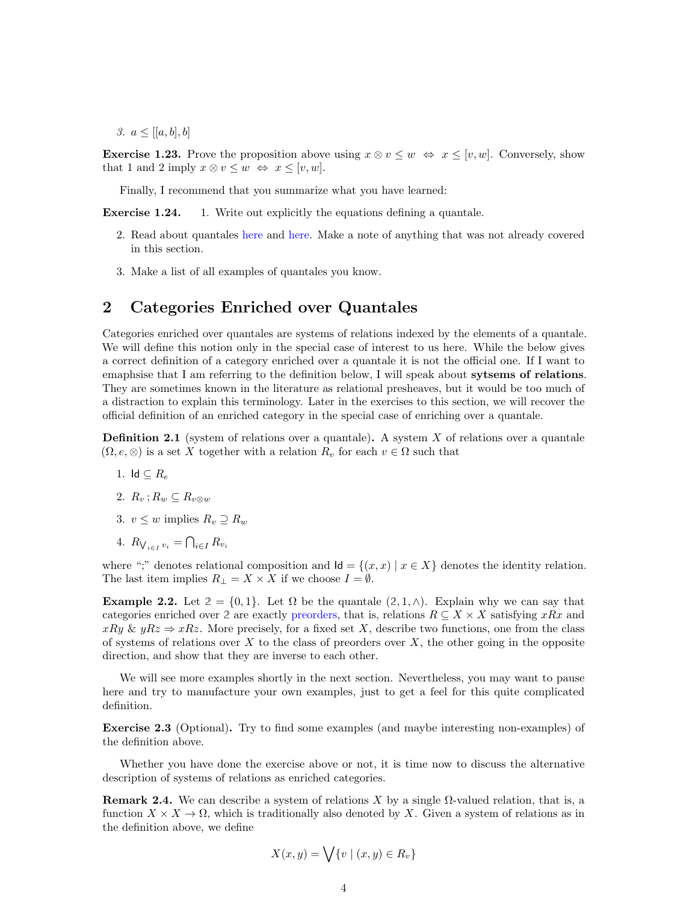3.  $a \leq [a, b], b]$ 

**Exercise 1.23.** Prove the proposition above using  $x \otimes v \leq w \Leftrightarrow x \leq [v, w]$ . Conversely, show that 1 and 2 imply  $x \otimes v \leq w \Leftrightarrow x \leq [v, w].$ 

Finally, I recommend that you summarize what you have learned:

**Exercise 1.24.** 1. Write out explicitly the equations defining a quantale.

- 2. Read about quantales [here](https://en.wikipedia.org/wiki/Quantale) and [here.](https://www.encyclopediaofmath.org/index.php/Quantale#References) Make a note of anything that was not already covered in this section.
- 3. Make a list of all examples of quantales you know.

## <span id="page-3-0"></span>2 Categories Enriched over Quantales

Categories enriched over quantales are systems of relations indexed by the elements of a quantale. We will define this notion only in the special case of interest to us here. While the below gives a correct definition of a category enriched over a quantale it is not the official one. If I want to emaphsise that I am referring to the definition below, I will speak about sytsems of relations. They are sometimes known in the literature as relational presheaves, but it would be too much of a distraction to explain this terminology. Later in the exercises to this section, we will recover the official definition of an enriched category in the special case of enriching over a quantale.

<span id="page-3-1"></span>**Definition 2.1** (system of relations over a quantale). A system  $X$  of relations over a quantale  $(\Omega, e, \otimes)$  is a set X together with a relation  $R_v$  for each  $v \in \Omega$  such that

- 1. Id  $\subseteq R_e$
- 2.  $R_v$ ;  $R_w \subseteq R_{v \otimes w}$
- 3.  $v \leq w$  implies  $R_v \supset R_w$
- 4.  $R_{\bigvee_{i \in I} v_i} = \bigcap_{i \in I} R_{v_i}$

where ";" denotes relational composition and  $\mathsf{Id} = \{(x, x) | x \in X\}$  denotes the identity relation. The last item implies  $R_{\perp} = X \times X$  if we choose  $I = \emptyset$ .

**Example 2.2.** Let  $2 = \{0, 1\}$ . Let  $\Omega$  be the quantale  $(2, 1, \wedge)$ . Explain why we can say that categories enriched over 2 are exactly [preorders,](https://en.wikipedia.org/wiki/Preorder#Formal_definition) that is, relations  $R \subseteq X \times X$  satisfying xRx and  $xRy \& yRz \Rightarrow xRz$ . More precisely, for a fixed set X, describe two functions, one from the class of systems of relations over  $X$  to the class of preorders over  $X$ , the other going in the opposite direction, and show that they are inverse to each other.

We will see more examples shortly in the next section. Nevertheless, you may want to pause here and try to manufacture your own examples, just to get a feel for this quite complicated definition.

Exercise 2.3 (Optional). Try to find some examples (and maybe interesting non-examples) of the definition above.

Whether you have done the exercise above or not, it is time now to discuss the alternative description of systems of relations as enriched categories.

**Remark 2.4.** We can describe a system of relations X by a single  $\Omega$ -valued relation, that is, a function  $X \times X \to \Omega$ , which is traditionally also denoted by X. Given a system of relations as in the definition above, we define

$$
X(x,y) = \bigvee \{v \mid (x,y) \in R_v\}
$$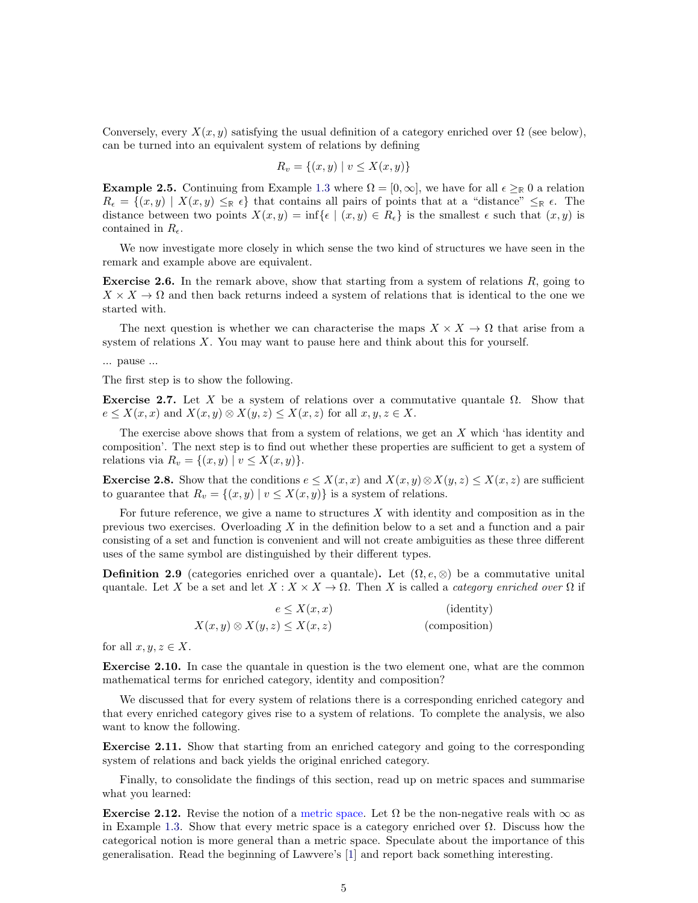Conversely, every  $X(x, y)$  satisfying the usual definition of a category enriched over  $\Omega$  (see below), can be turned into an equivalent system of relations by defining

$$
R_v = \{(x, y) \mid v \le X(x, y)\}\
$$

**Example 2.5.** Continuing from Example [1.3](#page-1-2) where  $\Omega = [0, \infty]$ , we have for all  $\epsilon \geq \mathbb{R}$  0 a relation  $R_{\epsilon} = \{(x, y) \mid X(x, y) \leq_{\mathbb{R}} \epsilon\}$  that contains all pairs of points that at a "distance"  $\leq_{\mathbb{R}} \epsilon$ . The distance between two points  $X(x, y) = \inf \{ \epsilon \mid (x, y) \in R_{\epsilon} \}$  is the smallest  $\epsilon$  such that  $(x, y)$  is contained in  $R_{\epsilon}$ .

We now investigate more closely in which sense the two kind of structures we have seen in the remark and example above are equivalent.

<span id="page-4-2"></span>**Exercise 2.6.** In the remark above, show that starting from a system of relations  $R$ , going to  $X \times X \to \Omega$  and then back returns indeed a system of relations that is identical to the one we started with.

The next question is whether we can characterise the maps  $X \times X \to \Omega$  that arise from a system of relations  $X$ . You may want to pause here and think about this for yourself.

... pause ...

The first step is to show the following.

Exercise 2.7. Let X be a system of relations over a commutative quantale  $\Omega$ . Show that  $e \leq X(x, x)$  and  $X(x, y) \otimes X(y, z) \leq X(x, z)$  for all  $x, y, z \in X$ .

The exercise above shows that from a system of relations, we get an X which 'has identity and composition'. The next step is to find out whether these properties are sufficient to get a system of relations via  $R_v = \{(x, y) | v \leq X(x, y)\}.$ 

<span id="page-4-0"></span>**Exercise 2.8.** Show that the conditions  $e \leq X(x, x)$  and  $X(x, y) \otimes X(y, z) \leq X(x, z)$  are sufficient to guarantee that  $R_v = \{(x, y) | v \leq X(x, y)\}\$ is a system of relations.

For future reference, we give a name to structures  $X$  with identity and composition as in the previous two exercises. Overloading  $X$  in the definition below to a set and a function and a pair consisting of a set and function is convenient and will not create ambiguities as these three different uses of the same symbol are distinguished by their different types.

**Definition 2.9** (categories enriched over a quantale). Let  $(\Omega, e, \otimes)$  be a commutative unital quantale. Let X be a set and let  $X : X \times X \to \Omega$ . Then X is called a *category enriched over*  $\Omega$  if

$$
e \le X(x, x)
$$
 (identity)  

$$
X(x, y) \otimes X(y, z) \le X(x, z)
$$
 (composition)

for all  $x, y, z \in X$ .

Exercise 2.10. In case the quantale in question is the two element one, what are the common mathematical terms for enriched category, identity and composition?

We discussed that for every system of relations there is a corresponding enriched category and that every enriched category gives rise to a system of relations. To complete the analysis, we also want to know the following.

<span id="page-4-1"></span>Exercise 2.11. Show that starting from an enriched category and going to the corresponding system of relations and back yields the original enriched category.

Finally, to consolidate the findings of this section, read up on metric spaces and summarise what you learned:

**Exercise 2.12.** Revise the notion of a [metric space.](https://en.wikipedia.org/wiki/Metric_space#Definition) Let  $\Omega$  be the non-negative reals with  $\infty$  as in Example [1.3.](#page-1-2) Show that every metric space is a category enriched over  $\Omega$ . Discuss how the categorical notion is more general than a metric space. Speculate about the importance of this generalisation. Read the beginning of Lawvere's [\[1\]](#page-8-0) and report back something interesting.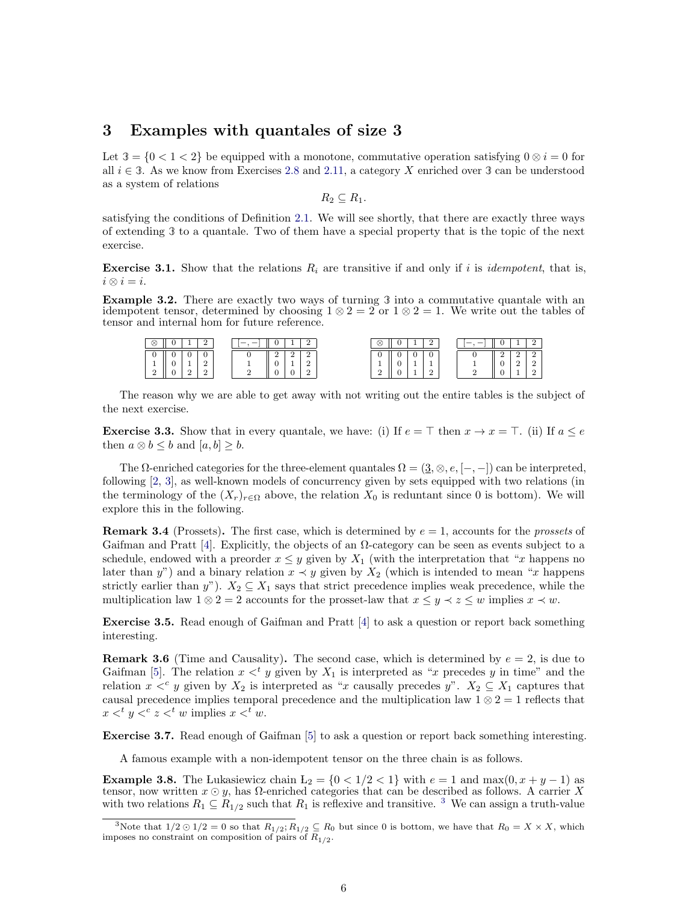#### <span id="page-5-0"></span>3 Examples with quantales of size 3

Let  $3 = \{0 < 1 < 2\}$  be equipped with a monotone, commutative operation satisfying  $0 \otimes i = 0$  for all  $i \in \mathcal{I}$ . As we know from Exercises [2.8](#page-4-0) and [2.11,](#page-4-1) a category X enriched over  $\mathcal{I}$  can be understood as a system of relations

 $R_2 \subseteq R_1$ .

satisfying the conditions of Definition [2.1.](#page-3-1) We will see shortly, that there are exactly three ways of extending **3** to a quantale. Two of them have a special property that is the topic of the next exercise.

**Exercise 3.1.** Show that the relations  $R_i$  are transitive if and only if i is *idempotent*, that is,  $i \otimes i = i$ .

Example 3.2. There are exactly two ways of turning **3** into a commutative quantale with an idempotent tensor, determined by choosing  $1 \otimes 2 = 2$  or  $1 \otimes 2 = 1$ . We write out the tables of tensor and internal hom for future reference.

| ⊗ |          |   |  |          | $\otimes$     |  |                          |  |   |  |
|---|----------|---|--|----------|---------------|--|--------------------------|--|---|--|
| υ |          |   |  |          | U             |  | v                        |  | - |  |
|   | <b>.</b> | - |  | <b>.</b> | <b>.</b>      |  | $\overline{\phantom{a}}$ |  |   |  |
| ∼ | -        | ∼ |  |          | $\Omega$<br>▵ |  |                          |  |   |  |

The reason why we are able to get away with not writing out the entire tables is the subject of the next exercise.

**Exercise 3.3.** Show that in every quantale, we have: (i) If  $e = \top$  then  $x \to x = \top$ . (ii) If  $a \leq e$ then  $a \otimes b \leq b$  and  $[a, b] \geq b$ .

The  $\Omega$ -enriched categories for the three-element quantales  $\Omega = (\underline{3}, \otimes, e, [-,-])$  can be interpreted, following [\[2,](#page-8-1) [3\]](#page-9-0), as well-known models of concurrency given by sets equipped with two relations (in the terminology of the  $(X_r)_{r \in \Omega}$  above, the relation  $X_0$  is reduntant since 0 is bottom). We will explore this in the following.

**Remark 3.4** (Prossets). The first case, which is determined by  $e = 1$ , accounts for the *prossets* of Gaifman and Pratt [\[4\]](#page-9-1). Explicitly, the objects of an  $\Omega$ -category can be seen as events subject to a schedule, endowed with a preorder  $x \leq y$  given by  $X_1$  (with the interpretation that "x happens no later than y") and a binary relation  $x \prec y$  given by  $X_2$  (which is intended to mean "x happens") strictly earlier than y").  $X_2 \subseteq X_1$  says that strict precedence implies weak precedence, while the multiplication law  $1 \otimes 2 = 2$  accounts for the prosset-law that  $x \leq y \leq z \leq w$  implies  $x \prec w$ .

Exercise 3.5. Read enough of Gaifman and Pratt [\[4\]](#page-9-1) to ask a question or report back something interesting.

**Remark 3.6** (Time and Causality). The second case, which is determined by  $e = 2$ , is due to Gaifman [\[5\]](#page-9-2). The relation  $x <^t y$  given by  $X_1$  is interpreted as "x precedes y in time" and the relation  $x <^c y$  given by  $X_2$  is interpreted as "x causally precedes y".  $X_2 \subseteq X_1$  captures that causal precedence implies temporal precedence and the multiplication law  $1 \otimes 2 = 1$  reflects that  $x <^t y <^c z <^t w$  implies  $x <^t w$ .

Exercise 3.7. Read enough of Gaifman [\[5\]](#page-9-2) to ask a question or report back something interesting.

A famous example with a non-idempotent tensor on the three chain is as follows.

**Example 3.8.** The Lukasiewicz chain  $L_2 = \{0 \leq 1/2 \leq 1\}$  with  $e = 1$  and  $\max(0, x + y - 1)$  as tensor, now written  $x \odot y$ , has  $\Omega$ -enriched categories that can be described as follows. A carrier X with two relations  $R_1 \subseteq R_{1/2}$  such that  $R_1$  is reflexive and transitive. <sup>[3](#page-5-1)</sup> We can assign a truth-value

<span id="page-5-1"></span><sup>&</sup>lt;sup>3</sup>Note that  $1/2 \odot 1/2 = 0$  so that  $R_{1/2}$ ;  $R_{1/2} \subseteq R_0$  but since 0 is bottom, we have that  $R_0 = X \times X$ , which imposes no constraint on composition of pairs of  $R_{1/2}$ .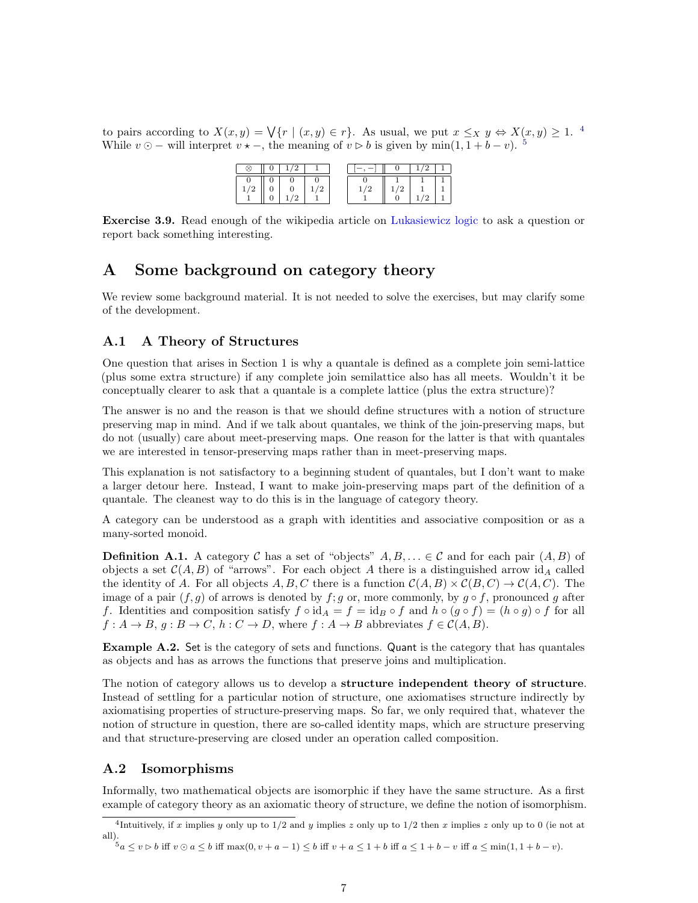to pairs according to  $X(x,y) = \bigvee \{r \mid (x,y) \in r\}.$  As usual, we put  $x \leq_X y \Leftrightarrow X(x,y) \geq 1$ . <sup>[4](#page-6-3)</sup> While  $v \odot -$  will interpret  $v \star -$ , the meaning of  $v \triangleright b$  is given by min $(1, 1 + b - v)$ . <sup>[5](#page-6-4)</sup>

| $\cdot$ | ∸<br>Ξ |  |  |  |
|---------|--------|--|--|--|

Exercise 3.9. Read enough of the wikipedia article on [Lukasiewicz logic](https://en.wikipedia.org/wiki/%C5%81ukasiewicz_logic) to ask a question or report back something interesting.

## <span id="page-6-0"></span>A Some background on category theory

We review some background material. It is not needed to solve the exercises, but may clarify some of the development.

#### <span id="page-6-1"></span>A.1 A Theory of Structures

One question that arises in Section 1 is why a quantale is defined as a complete join semi-lattice (plus some extra structure) if any complete join semilattice also has all meets. Wouldn't it be conceptually clearer to ask that a quantale is a complete lattice (plus the extra structure)?

The answer is no and the reason is that we should define structures with a notion of structure preserving map in mind. And if we talk about quantales, we think of the join-preserving maps, but do not (usually) care about meet-preserving maps. One reason for the latter is that with quantales we are interested in tensor-preserving maps rather than in meet-preserving maps.

This explanation is not satisfactory to a beginning student of quantales, but I don't want to make a larger detour here. Instead, I want to make join-preserving maps part of the definition of a quantale. The cleanest way to do this is in the language of category theory.

A category can be understood as a graph with identities and associative composition or as a many-sorted monoid.

**Definition A.1.** A category C has a set of "objects"  $A, B, \ldots \in \mathcal{C}$  and for each pair  $(A, B)$  of objects a set  $\mathcal{C}(A, B)$  of "arrows". For each object A there is a distinguished arrow id<sub>A</sub> called the identity of A. For all objects  $A, B, C$  there is a function  $C(A, B) \times C(B, C) \rightarrow C(A, C)$ . The image of a pair  $(f, g)$  of arrows is denoted by  $f$ ; g or, more commonly, by  $g \circ f$ , pronounced g after f. Identities and composition satisfy  $f \circ id_A = f = id_B \circ f$  and  $h \circ (g \circ f) = (h \circ g) \circ f$  for all  $f: A \to B, g: B \to C, h: C \to D$ , where  $f: A \to B$  abbreviates  $f \in C(A, B)$ .

Example A.2. Set is the category of sets and functions. Quant is the category that has quantales as objects and has as arrows the functions that preserve joins and multiplication.

The notion of category allows us to develop a structure independent theory of structure. Instead of settling for a particular notion of structure, one axiomatises structure indirectly by axiomatising properties of structure-preserving maps. So far, we only required that, whatever the notion of structure in question, there are so-called identity maps, which are structure preserving and that structure-preserving are closed under an operation called composition.

#### <span id="page-6-2"></span>A.2 Isomorphisms

Informally, two mathematical objects are isomorphic if they have the same structure. As a first example of category theory as an axiomatic theory of structure, we define the notion of isomorphism.

<span id="page-6-3"></span><sup>&</sup>lt;sup>4</sup>Intuitively, if x implies y only up to  $1/2$  and y implies z only up to  $1/2$  then x implies z only up to 0 (ie not at all).

<span id="page-6-4"></span> $\overline{5}_a \le v \triangleright b$  iff  $v \odot a \le b$  iff max $(0, v + a - 1) \le b$  iff  $v + a \le 1 + b$  iff  $a \le 1 + b - v$  iff  $a \le \min(1, 1 + b - v)$ .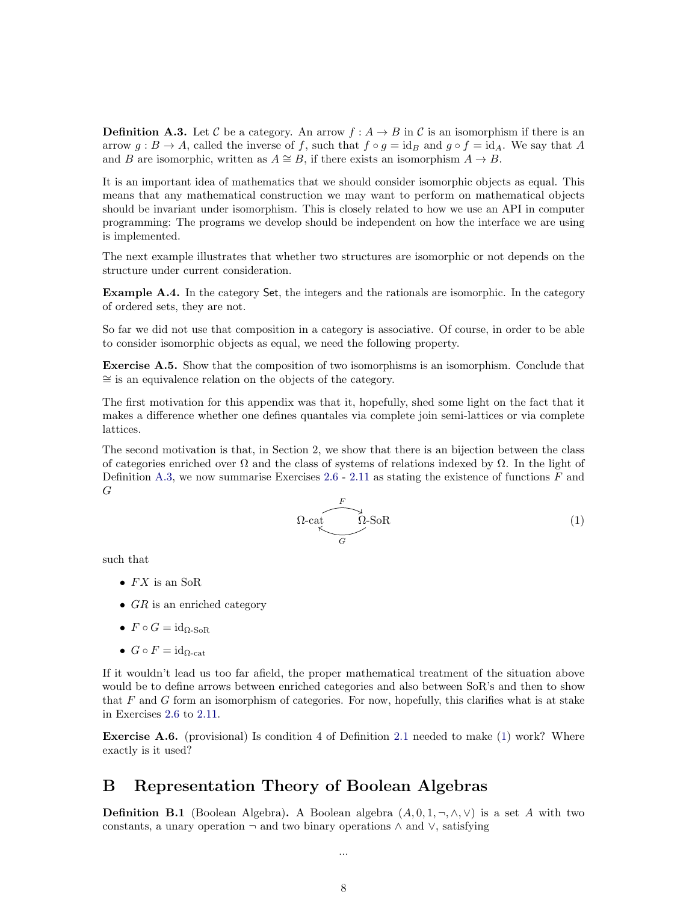<span id="page-7-1"></span>**Definition A.3.** Let C be a category. An arrow  $f : A \to B$  in C is an isomorphism if there is an arrow  $g : B \to A$ , called the inverse of f, such that  $f \circ g = id_B$  and  $g \circ f = id_A$ . We say that A and B are isomorphic, written as  $A \cong B$ , if there exists an isomorphism  $A \to B$ .

It is an important idea of mathematics that we should consider isomorphic objects as equal. This means that any mathematical construction we may want to perform on mathematical objects should be invariant under isomorphism. This is closely related to how we use an API in computer programming: The programs we develop should be independent on how the interface we are using is implemented.

The next example illustrates that whether two structures are isomorphic or not depends on the structure under current consideration.

Example A.4. In the category Set, the integers and the rationals are isomorphic. In the category of ordered sets, they are not.

So far we did not use that composition in a category is associative. Of course, in order to be able to consider isomorphic objects as equal, we need the following property.

Exercise A.5. Show that the composition of two isomorphisms is an isomorphism. Conclude that ∼= is an equivalence relation on the objects of the category.

The first motivation for this appendix was that it, hopefully, shed some light on the fact that it makes a difference whether one defines quantales via complete join semi-lattices or via complete lattices.

The second motivation is that, in Section 2, we show that there is an bijection between the class of categories enriched over  $\Omega$  and the class of systems of relations indexed by  $\Omega$ . In the light of Definition [A.3,](#page-7-1) we now summarise Exercises  $2.6 - 2.11$  $2.6 - 2.11$  $2.6 - 2.11$  as stating the existence of functions  $F$  and G

<span id="page-7-2"></span>
$$
\Omega\text{-cat}\underset{G}{\overset{F}{\bigwedge}}\Omega\text{-SoR}\tag{1}
$$

such that

- $FX$  is an SoR
- $GR$  is an enriched category
- $F \circ G = \mathrm{id}_{\Omega\text{-SoR}}$
- $G \circ F = id_{\Omega_{\text{cat}}}$

If it wouldn't lead us too far afield, the proper mathematical treatment of the situation above would be to define arrows between enriched categories and also between SoR's and then to show that  $F$  and  $G$  form an isomorphism of categories. For now, hopefully, this clarifies what is at stake in Exercises [2.6](#page-4-2) to [2.11.](#page-4-1)

Exercise A.6. (provisional) Is condition 4 of Definition [2.1](#page-3-1) needed to make [\(1\)](#page-7-2) work? Where exactly is it used?

## <span id="page-7-0"></span>B Representation Theory of Boolean Algebras

**Definition B.1** (Boolean Algebra). A Boolean algebra  $(A, 0, 1, \neg, \wedge, \vee)$  is a set A with two constants, a unary operation  $\neg$  and two binary operations  $\wedge$  and  $\vee$ , satisfying

...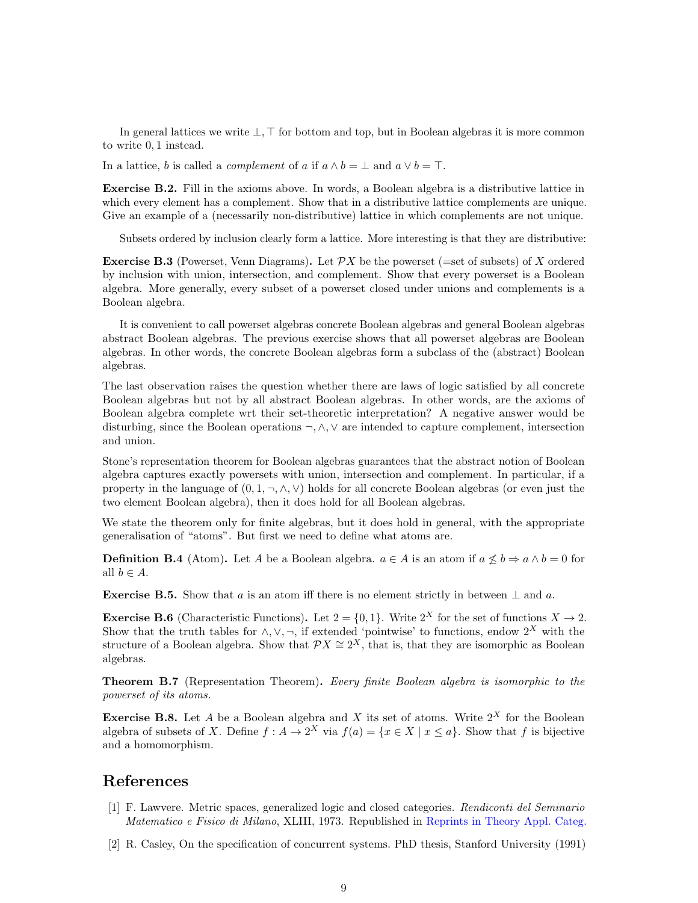In general lattices we write  $\bot$ ,  $\top$  for bottom and top, but in Boolean algebras it is more common to write 0, 1 instead.

In a lattice, b is called a *complement* of a if  $a \wedge b = \perp$  and  $a \vee b = \top$ .

Exercise B.2. Fill in the axioms above. In words, a Boolean algebra is a distributive lattice in which every element has a complement. Show that in a distributive lattice complements are unique. Give an example of a (necessarily non-distributive) lattice in which complements are not unique.

Subsets ordered by inclusion clearly form a lattice. More interesting is that they are distributive:

**Exercise B.3** (Powerset, Venn Diagrams). Let  $\mathcal{P}X$  be the powerset (=set of subsets) of X ordered by inclusion with union, intersection, and complement. Show that every powerset is a Boolean algebra. More generally, every subset of a powerset closed under unions and complements is a Boolean algebra.

It is convenient to call powerset algebras concrete Boolean algebras and general Boolean algebras abstract Boolean algebras. The previous exercise shows that all powerset algebras are Boolean algebras. In other words, the concrete Boolean algebras form a subclass of the (abstract) Boolean algebras.

The last observation raises the question whether there are laws of logic satisfied by all concrete Boolean algebras but not by all abstract Boolean algebras. In other words, are the axioms of Boolean algebra complete wrt their set-theoretic interpretation? A negative answer would be disturbing, since the Boolean operations ¬, ∧, ∨ are intended to capture complement, intersection and union.

Stone's representation theorem for Boolean algebras guarantees that the abstract notion of Boolean algebra captures exactly powersets with union, intersection and complement. In particular, if a property in the language of  $(0, 1, \neg, \wedge, \vee)$  holds for all concrete Boolean algebras (or even just the two element Boolean algebra), then it does hold for all Boolean algebras.

We state the theorem only for finite algebras, but it does hold in general, with the appropriate generalisation of "atoms". But first we need to define what atoms are.

**Definition B.4** (Atom). Let A be a Boolean algebra.  $a \in A$  is an atom if  $a \not\leq b \Rightarrow a \wedge b = 0$  for all  $b \in A$ .

**Exercise B.5.** Show that a is an atom iff there is no element strictly in between  $\perp$  and a.

**Exercise B.6** (Characteristic Functions). Let  $2 = \{0, 1\}$ . Write  $2^X$  for the set of functions  $X \to 2$ . Show that the truth tables for  $\wedge, \vee, \neg$ , if extended 'pointwise' to functions, endow  $2^X$  with the structure of a Boolean algebra. Show that  $\mathcal{P}X \cong 2^X$ , that is, that they are isomorphic as Boolean algebras.

**Theorem B.7** (Representation Theorem). Every finite Boolean algebra is isomorphic to the powerset of its atoms.

**Exercise B.8.** Let A be a Boolean algebra and X its set of atoms. Write  $2^X$  for the Boolean algebra of subsets of X. Define  $f : A \to 2^X$  via  $f(a) = \{x \in X \mid x \le a\}$ . Show that f is bijective and a homomorphism.

#### References

- <span id="page-8-0"></span>[1] F. Lawvere. Metric spaces, generalized logic and closed categories. Rendiconti del Seminario Matematico e Fisico di Milano, XLIII, 1973. Republished in [Reprints in Theory Appl. Categ.](http://tac.mta.ca/tac/reprints/articles/1/tr1abs.html)
- <span id="page-8-1"></span>[2] R. Casley, On the specification of concurrent systems. PhD thesis, Stanford University (1991)